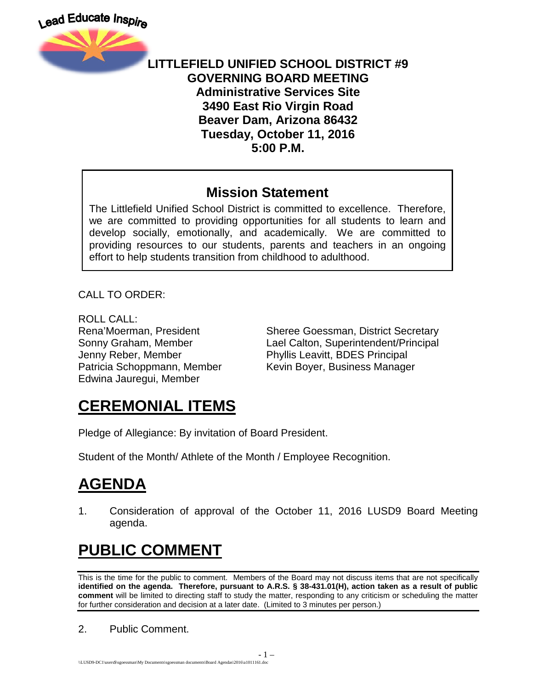

#### **LITTLEFIELD UNIFIED SCHOOL DISTRICT #9 GOVERNING BOARD MEETING Administrative Services Site 3490 East Rio Virgin Road Beaver Dam, Arizona 86432 Tuesday, October 11, 2016 5:00 P.M.**

#### **Mission Statement**

The Littlefield Unified School District is committed to excellence. Therefore, we are committed to providing opportunities for all students to learn and develop socially, emotionally, and academically. We are committed to providing resources to our students, parents and teachers in an ongoing effort to help students transition from childhood to adulthood.

CALL TO ORDER:

ROLL CALL: Jenny Reber, Member Phyllis Leavitt, BDES Principal Edwina Jauregui, Member

Rena'Moerman, President Sheree Goessman, District Secretary Sonny Graham, Member Lael Calton, Superintendent/Principal Patricia Schoppmann, Member Kevin Boyer, Business Manager

## **CEREMONIAL ITEMS**

Pledge of Allegiance: By invitation of Board President.

Student of the Month/ Athlete of the Month / Employee Recognition.

## **AGENDA**

1. Consideration of approval of the October 11, 2016 LUSD9 Board Meeting agenda.

# **PUBLIC COMMENT**

This is the time for the public to comment. Members of the Board may not discuss items that are not specifically **identified on the agenda. Therefore, pursuant to A.R.S. § 38-431.01(H), action taken as a result of public comment** will be limited to directing staff to study the matter, responding to any criticism or scheduling the matter for further consideration and decision at a later date. (Limited to 3 minutes per person.)

2. Public Comment.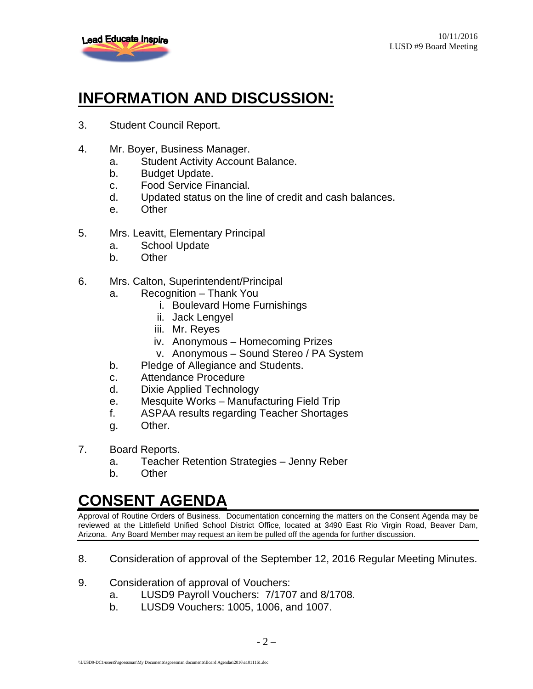

# **INFORMATION AND DISCUSSION:**

- 3. Student Council Report.
- 4. Mr. Boyer, Business Manager.
	- a. Student Activity Account Balance.
	- b. Budget Update.
	- c. Food Service Financial.
	- d. Updated status on the line of credit and cash balances.
	- e. Other
- 5. Mrs. Leavitt, Elementary Principal
	- a. School Update
	- b. Other
- 6. Mrs. Calton, Superintendent/Principal
	- a. Recognition Thank You
		- i. Boulevard Home Furnishings
		- ii. Jack Lengyel
		- iii. Mr. Reyes
		- iv. Anonymous Homecoming Prizes
		- v. Anonymous Sound Stereo / PA System
	- b. Pledge of Allegiance and Students.
	- c. Attendance Procedure
	- d. Dixie Applied Technology
	- e. Mesquite Works Manufacturing Field Trip
	- f. ASPAA results regarding Teacher Shortages
	- g. Other.
- 7. Board Reports.
	- a. Teacher Retention Strategies Jenny Reber
	- b. Other

#### **CONSENT AGENDA**

Approval of Routine Orders of Business. Documentation concerning the matters on the Consent Agenda may be reviewed at the Littlefield Unified School District Office, located at 3490 East Rio Virgin Road, Beaver Dam, Arizona. Any Board Member may request an item be pulled off the agenda for further discussion.

- 8. Consideration of approval of the September 12, 2016 Regular Meeting Minutes.
- 9. Consideration of approval of Vouchers:
	- a. LUSD9 Payroll Vouchers: 7/1707 and 8/1708.
	- b. LUSD9 Vouchers: 1005, 1006, and 1007.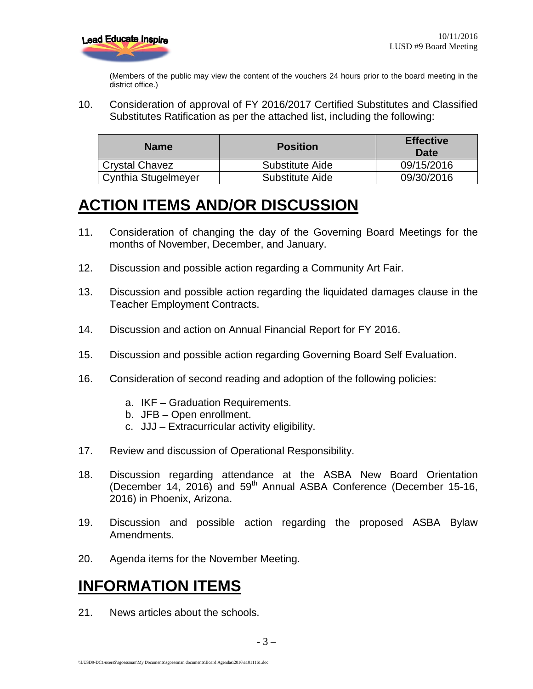

(Members of the public may view the content of the vouchers 24 hours prior to the board meeting in the district office.)

10. Consideration of approval of FY 2016/2017 Certified Substitutes and Classified Substitutes Ratification as per the attached list, including the following:

| <b>Name</b>         | <b>Position</b> | <b>Effective</b><br>Date |
|---------------------|-----------------|--------------------------|
| Crystal Chavez      | Substitute Aide | 09/15/2016               |
| Cynthia Stugelmeyer | Substitute Aide | 09/30/2016               |

### **ACTION ITEMS AND/OR DISCUSSION**

- 11. Consideration of changing the day of the Governing Board Meetings for the months of November, December, and January.
- 12. Discussion and possible action regarding a Community Art Fair.
- 13. Discussion and possible action regarding the liquidated damages clause in the Teacher Employment Contracts.
- 14. Discussion and action on Annual Financial Report for FY 2016.
- 15. Discussion and possible action regarding Governing Board Self Evaluation.
- 16. Consideration of second reading and adoption of the following policies:
	- a. IKF Graduation Requirements.
	- b. JFB Open enrollment.
	- c. JJJ Extracurricular activity eligibility.
- 17. Review and discussion of Operational Responsibility.
- 18. Discussion regarding attendance at the ASBA New Board Orientation (December  $14$ , 2016) and  $59<sup>th</sup>$  Annual ASBA Conference (December 15-16, 2016) in Phoenix, Arizona.
- 19. Discussion and possible action regarding the proposed ASBA Bylaw Amendments.
- 20. Agenda items for the November Meeting.

#### **INFORMATION ITEMS**

21. News articles about the schools.